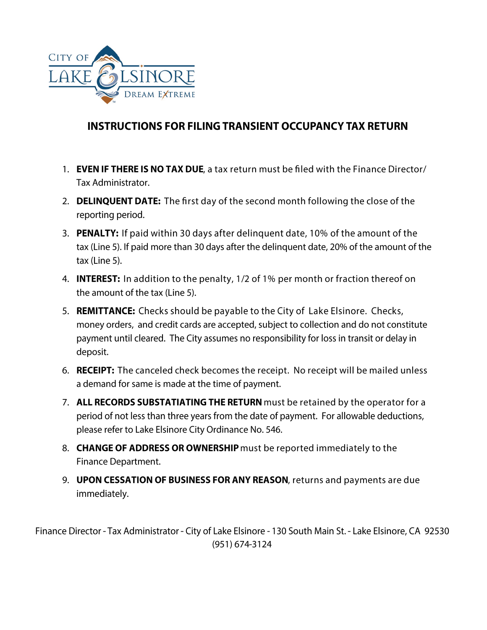

## **INSTRUCTIONS FOR FILING TRANSIENT OCCUPANCY TAX RETURN**

- 1. EVEN IF THERE IS NO TAX DUE, a tax return must be filed with the Finance Director/ Tax Administrator.
- 2. DELINQUENT DATE: The first day of the second month following the close of the reporting period.
- 3. PENALTY: If paid within 30 days after delinguent date, 10% of the amount of the tax (Line 5). If paid more than 30 days after the delinguent date, 20% of the amount of the tax (Line 5).
- 4. INTEREST: In addition to the penalty, 1/2 of 1% per month or fraction thereof on the amount of the tax (Line 5).
- 5. REMITTANCE: Checks should be payable to the City of Lake Elsinore. Checks, money orders, and credit cards are accepted, subject to collection and do not constitute payment until cleared. The City assumes no responsibility for loss in transit or delay in deposit.
- 6. RECEIPT: The canceled check becomes the receipt. No receipt will be mailed unless a demand for same is made at the time of payment.
- 7. ALL RECORDS SUBSTATIATING THE RETURN must be retained by the operator for a period of not less than three years from the date of payment. For allowable deductions, please refer to Lake Elsinore City Ordinance No. 546.
- 8. CHANGE OF ADDRESS OR OWNERSHIP must be reported immediately to the **Finance Department.**
- 9. UPON CESSATION OF BUSINESS FOR ANY REASON, returns and payments are due immediately.

Finance Director - Tax Administrator - City of Lake Elsinore - 130 South Main St. - Lake Elsinore, CA 92530 (951) 674-3124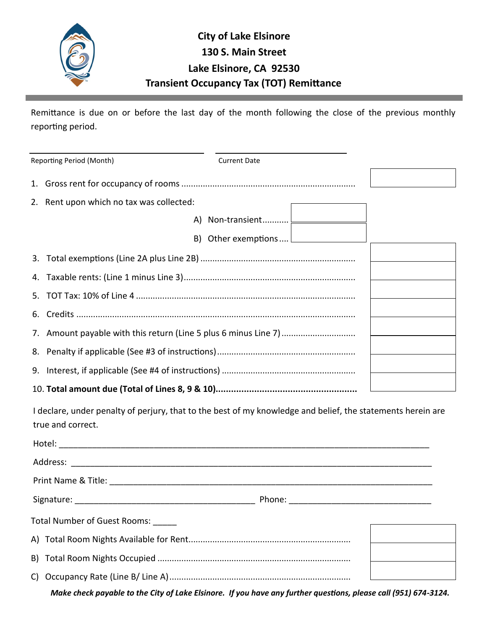

## **Transient Occupancy Tax (TOT) Remittance City of Lake Elsinore 130 S. Main Street Lake Elsinore, CA 92530**

Remittance is due on or before the last day of the month following the close of the previous monthly reporting period.

| Reporting Period (Month)                 | <b>Current Date</b> |  |
|------------------------------------------|---------------------|--|
|                                          |                     |  |
| 2. Rent upon which no tax was collected: |                     |  |
|                                          |                     |  |
|                                          |                     |  |
|                                          |                     |  |
|                                          |                     |  |
|                                          |                     |  |
|                                          |                     |  |
|                                          |                     |  |
|                                          |                     |  |
|                                          |                     |  |
|                                          |                     |  |

I declare, under penalty of perjury, that to the best of my knowledge and belief, the statements herein are true and correct.

| Total Number of Guest Rooms: |  |  |  |  |
|------------------------------|--|--|--|--|
|                              |  |  |  |  |
|                              |  |  |  |  |
|                              |  |  |  |  |
|                              |  |  |  |  |

*Make check payable to the City of Lake Elsinore. If you have any further questions, please call (951) 674-3124.*